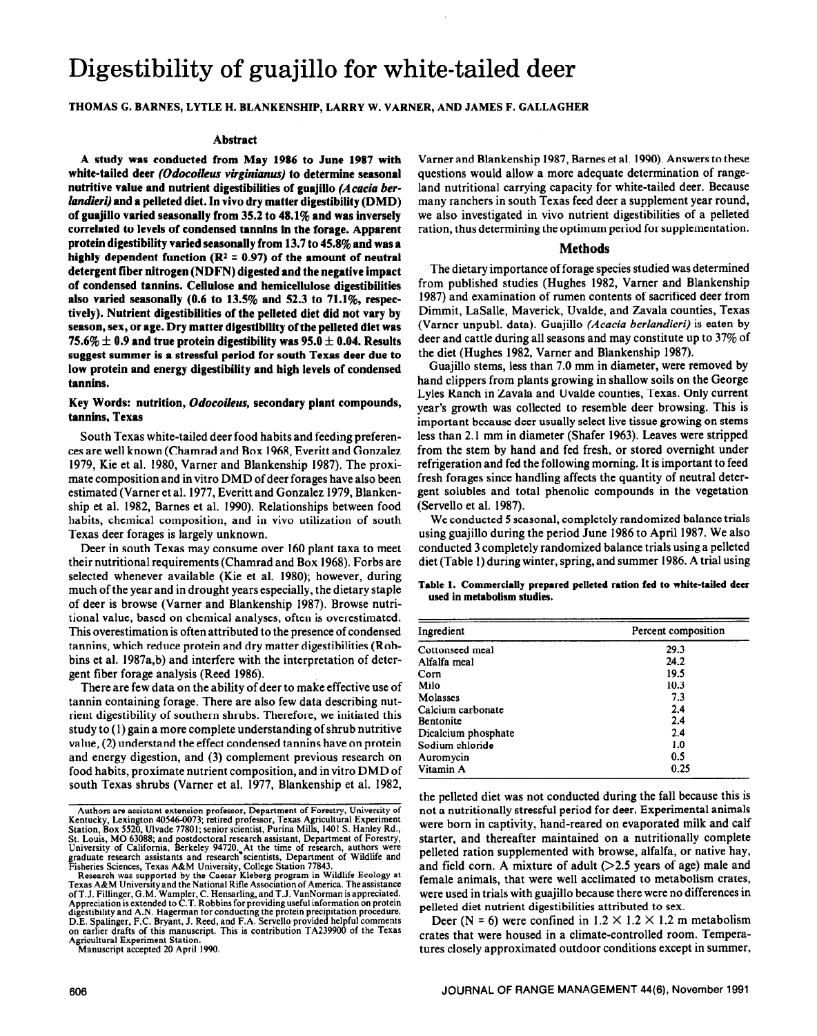# Digestibility of guajillo for white-tailed deer

# THOMAS G. BARNES, LYTLE H. BLANKENSHIP, LARRY W. VARNER, AND JAMES F. GALLAGHER

#### **Abstract**

**A study was conducted from May 1986 to June 1987 with white-tailed deer** *(Odocoileus virginianus)* **to determine seasonal nutritive value and nutrient digestibilities of guajillo** *(Acuciu berlandieri)* **and a pelleted diet. In vivo dry matter digestibility (DMD) of guajillo varied seasonally from 35.2 to 48.1% and was inversely correlated to levels of condensed tannins in the forage. Apparent protein digestibility varied seasonally from 13.7 to 45.8% and was a**  highly dependent function  $(R^2 = 0.97)$  of the amount of neutral **detergent fiber nitrogen (NDFN) digested and the negative impact of condensed tannins. Cellulose and hemicellulose digestibilities also varied seasonally (0.6 to 13.5% and 52.3 to 71.1%, respectively). Nutrient digestibilities of the pelleted diet did not vary by season, sex, or age. Dry matter digestibility of the pelleted diet was**   $75.6\% \pm 0.9$  and true protein digestibility was  $95.0 \pm 0.04$ . Results **suggest summer is a stressful period for south Texas deer due to low protein and energy digestibility and high levels of condensed tannins.** 

### **Key Words: nutrition,** *Odocoileus,* **secondary plant compounds, tannins, Texas**

South Texas white-tailed deer food habits and feeding preferences are well known (Chamrad and Box 1968, Everitt and Gonzalez 1979, Kie et al. 1980, Varner and Blankenship 1987). The proximate composition and in vitro DMD of deer forages have also been estimated (Varner et al. 1977, Everitt and Gonzalez 1979, Blankenship et al. 1982, Barnes et al. 1990). Relationships between food habits, chemical composition, and in vivo utilization of south Texas deer forages is largely unknown.

Deer in south Texas may consume over 160 plant taxa to meet their nutritional requirements (Chamrad and Box 1968). Forbs are selected whenever available (Kie et al. 1980); however, during much of the year and in drought years especially, the dietary staple of deer is browse (Varner and Blankenship 1987). Browse nutritional value, based on chemical analyses, often is overestimated. This overestimation is often attributed to the presence of condensed tannins, which reduce protein and dry matter digestibilities (Robbins et al. 1987a,b) and interfere with the interpretation of detergent fiber forage analysis (Reed 1986).

There are few data on the ability of deer to make effective use of tannin containing forage. There are also few data describing nutrient digestibility of southern shrubs. Therefore, we initiated this study to (1) gain a more complete understanding of shrub nutritive value, (2) understand the effect condensed tannins have on protein and energy digestion, and (3) complement previous research on food habits, proximate nutrient composition, and invitro DMD of south Texas shrubs (Varner et al. 1977, Blankenship et al. 1982,

**Agricultural Experiment Station. Manuscript accepted 20 April 1990.** 

Varner and Blankenship 1987, Barnes et al. 1990). Answers to these questions would allow a more adequate determination of rangeland nutritional carrying capacity for white-tailed deer. Because many ranchers in south Texas feed deer a supplement year round, we also investigated in vivo nutrient digestibilities of a pelleted ration, thus determining the optimum period for supplementation.

#### **Methods**

The dietary importance of forage species studied was determined from published studies (Hughes 1982, Varner and Blankenship 1987) and examination of rumen contents of sacrificed deer from Dimmit, LaSalle, Maverick, Uvalde, and Zavala counties, Texas (Varner unpubl. data). Guajillo *(Acacia berlandieri)* is eaten by deer and cattle during all seasons and may constitute up to 37% of the diet (Hughes 1982, Varner and Blankenship 1987).

Guajillo stems, less than 7.0 mm in diameter, were removed by hand clippers from plants growing in shallow soils on the George Lyles Ranch in Zavala and Uvalde counties, Texas. Only current year's growth was collected to resemble deer browsing. This is important because deer usually select live tissue growing on stems less than 2.1 mm in diameter (Shafer 1963). Leaves were stripped from the stem by hand and fed fresh, or stored overnight under refrigeration and fed the following morning. It is important to feed fresh forages since handling affects the quantity of neutral detergent solubles and total phenolic compounds in the vegetation (Serve110 et al. 1987).

We conducted 5 seasonal, completely randomized balance trials using guajillo during the period June 1986 to April 1987. We also conducted 3 completely randomized balance trials using a pelleted diet (Table 1) during winter, spring, and summer 1986. A trial using

**Table 1. Commercially prepared pelleted ration fed to white-tailed deer used in metabolism studies.** 

| Ingredient          | Percent composition<br>29.3 |  |  |  |  |
|---------------------|-----------------------------|--|--|--|--|
| Cottonseed meal     |                             |  |  |  |  |
| Alfalfa meal        | 24.2                        |  |  |  |  |
| Corn                | 19.5                        |  |  |  |  |
| Milo                | 10.3                        |  |  |  |  |
| Molasses            | 7.3                         |  |  |  |  |
| Calcium carbonate   | 2.4                         |  |  |  |  |
| Bentonite           | 2.4                         |  |  |  |  |
| Dicalcium phosphate | 2.4                         |  |  |  |  |
| Sodium chloride     | 1.0                         |  |  |  |  |
| Auromycin           | 0.5                         |  |  |  |  |
| Vitamin A           | 0.25                        |  |  |  |  |

the pelleted diet was not conducted during the fall because this is not a nutritionally stressful period for deer. Experimental animals were born in captivity, hand-reared on evaporated milk and calf starter, and thereafter maintained on a nutritionally complete pelleted ration supplemented with browse, alfalfa, or native hay, and field corn. A mixture of adult  $(>=2.5$  years of age) male and female animals, that were well acclimated to metabolism crates, were used in trials with guajillo because there were no differences in pelleted diet nutrient digestibilities attributed to sex.

Deer (N = 6) were confined in  $1.2 \times 1.2 \times 1.2$  m metabolism crates that were housed in a climate-controlled room. Temperatures closely approximated outdoor conditions except in summer,

**Authors are assistant extension professor, Department of Forestry, University of Kentucky, Lexington 40546-0073; retired professor, Texas Agricultural Experiment**  Station, Box 5520, Ulvade 77801; senior scientist, Purina Mills, 1401 S. Hanley Rd., St. Louis, MO 63088; and postdoctoral research assistant, Department of Forestry, University of California, Berkeley 94720. At the time of research, authors were graduate research assistants and research fisientiests, Depa

Texas A&M University and the National Rifle Association of America. The assistance<br>of T.J. Fillinger, G.M. Wampler, C. Hensarling, and T.J. VanNorman is appreciated.<br>Appreciation is extended to C.T. Robbins for providing u **digestibility and A.N. Hagerman for conducting the protein precipitation procedure. D.E. Spalinger, F.C. Bryant, J. Reed, and F.A. Serve110 provided helpful comments on earlier drafts of this manuscript. This is contribution TA239900 of the Texas**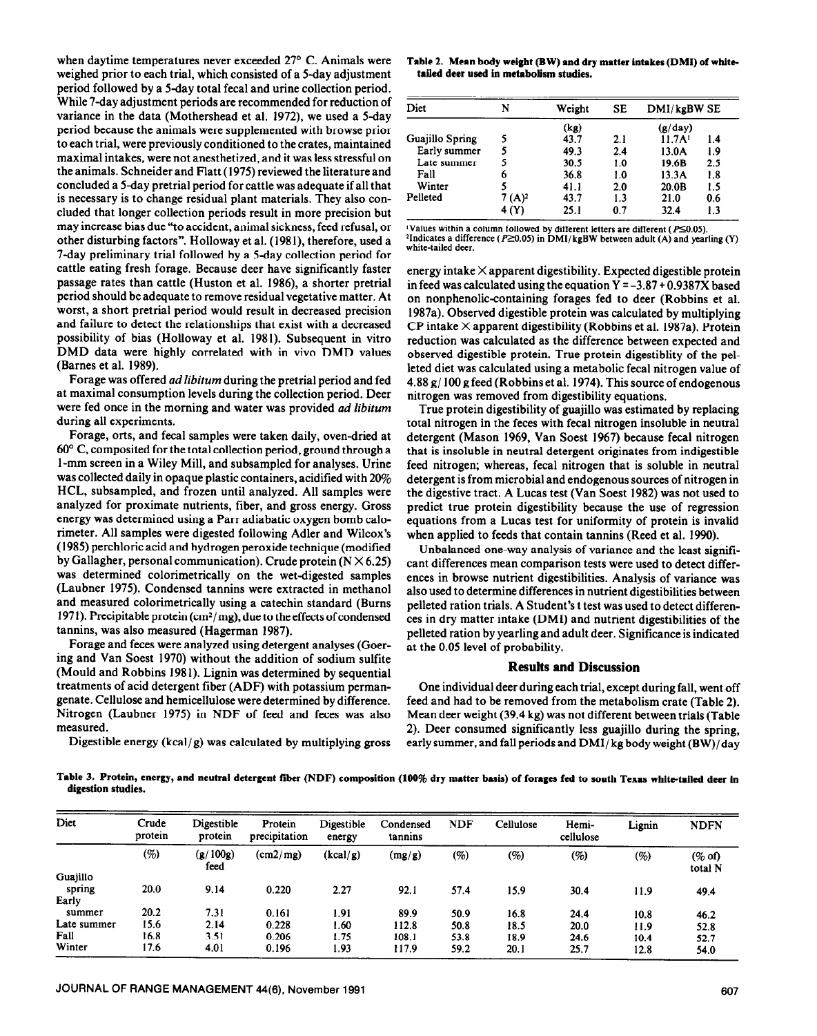when daytime temperatures never exceeded  $27^{\circ}$  C. Animals were weighed prior to each trial, which consisted of a 5-day adjustment period followed by a 5-day total fecal and urine collection period. While 7-day adjustment periods are recommended for reduction of variance in the data (Mothershead et al. 1972), we used a 5-day period because the animals were supplemented with browse prior to each trial, were previously conditioned to the crates, maintained maximal intakes, were not anesthetized, and it was less stressful on the animals. Schneider and Flatt (1975) reviewed the literature and concluded a 5-day pretrial period for cattle was adequate if all that is necessary is to change residual plant materials. They also concluded that longer collection periods result in more precision but may increase bias due "to accident, animal sickness, feed refusal, or other disturbing factors". Holloway et al. (1981), therefore, used a 7-day preliminary trial followed by a 5-day collection period for cattle eating fresh forage. Because deer have significantly faster passage rates than cattle (Huston et al. 1986), a shorter pretrial period should be adequate to remove residual vegetative matter. At worst, a short pretrial period would result in decreased precision and failure to detect the relationships that exist with a decreased possibility of bias (Holloway et al. 1981). Subsequent in vitro DMD data were highly correlated with in vivo DMD values (Barnes et al. 1989).

Forage was offered *ad libitum* during the pretrial period and fed at maximal consumption levels during the collection period. Deer were fed once in the morning and water was provided *ad libitum*  during all experiments.

Forage, orts, and fecal samples were taken daily, oven-dried at 60" C, composited for the total collection period, ground through a l-mm screen in a Wiley Mill, and subsampled for analyses. Urine was collected daily in opaque plastic containers, acidified with 20% HCL, subsampled, and frozen until analyzed. All samples were analyzed for proximate nutrients, fiber, and gross energy. Gross energy was determined using a Parr adiabatic oxygen bomb calorimeter. All samples were digested following Adler and Wilcox's (1985) perchloric acid and hydrogen peroxide technique (modified by Gallagher, personal communication). Crude protein  $(N \times 6.25)$ was determined colorimetrically on the wet-digested samples (Laubner 1975). Condensed tannins were extracted in methanol and measured colorimetrically using a catechin standard (Burns 1971). Precipitable protein  $\text{cm}^2/\text{mg}$ , due to the effects of condensed tannins, was also measured (Hagerman 1987).

Forage and feces were analyzed using detergent analyses (Goering and Van Soest 1970) without the addition of sodium sulfite (Mould and Robbins 1981). Lignin was determined by sequential treatments of acid detergent fiber (ADF) with potassium permangenate. Cellulose and hemicellulose were determined by difference. Nitrogen (Laubner 1975) in NDF of feed and feces was also measured.

Digestible energy  $(kcal/g)$  was calculated by multiplying gross

**Table 2. Mean body weight (BW) and dry matter intakes (DMI) of whitetailed deer used in metabolism studies.** 

| Diet            | N                  | Weight | SЕ      | DMI/kgBW SE        |     |  |
|-----------------|--------------------|--------|---------|--------------------|-----|--|
|                 |                    | (kg)   | (g/day) |                    |     |  |
| Guajillo Spring |                    | 43.7   | 2.1     | 11.7A <sup>1</sup> | 1.4 |  |
| Early summer    |                    | 49.3   | 2.4     | 13.0A              | 1.9 |  |
| Late summer     | 5                  | 30.5   | 1.0     | 19.6B              | 2.5 |  |
| Fall            | 6                  | 36.8   | 1.0     | 13.3A              | 1.8 |  |
| Winter          |                    | 41.1   | 2.0     | 20.0B              | 1.5 |  |
| Pelleted        | 7 (A) <sup>2</sup> | 43.7   | 1.3     | 21.0               | 0.6 |  |
|                 | 4 (Y)              | 25.1   | 0.7     | 32.4               | 1.3 |  |

'Values within a column followed by different letters are different ( $P \le 0.05$ ). <sup>2</sup>Indicates a difference ( $P \ge 0.05$ ) in DMI/kgBW between adult (A) and yearling (Y) white-tailed deer.

energy intake  $\times$  apparent digestibility. Expected digestible protein in feed was calculated using the equation  $Y = -3.87 + 0.9387X$  based on nonphenolic-containing forages fed to deer (Robbins et al. 1987a). Observed digestible protein was calculated by multiplying CP intake  $\times$  apparent digestibility (Robbins et al. 1987a). Protein reduction was calculated as the difference between expected and observed digestible protein. True protein digestiblity of the pelleted diet was calculated using a metabolic fecal nitrogen value of 4.88 g/ 100 g feed (Robbins et al. 1974). This source of endogenous nitrogen was removed from digestibility equations.

True protein digestibility of guajillo was estimated by replacing total nitrogen in the feces with fecal nitrogen insoluble in neutral detergent (Mason 1969, Van Soest 1967) because fecal nitrogen that is insoluble in neutral detergent originates from indigestible feed nitrogen; whereas, fecal nitrogen that is soluble in neutral detergent is from microbial and endogenous sources of nitrogen in the digestive tract. A Lucas test (Van Soest 1982) was not used to predict true protein digestibility because the use of regression equations from a Lucas test for uniformity of protein is invalid when applied to feeds that contain tannins (Reed et al. 1990).

Unbalanced one-way analysis of variance and the least significant differences mean comparison tests were used to detect differences in browse nutrient digestibilities. Analysis of variance was also used to determine differences in nutrient digestibilities between pelleted ration trials. A Student's t test was used to detect differences in dry matter intake (DMI) and nutrient digestibilities of the pelleted ration by yearling and adult deer. Significance is indicated at the 0.05 level of probability.

## **Results and Discussion**

One individual deer during each trial, except during fall, went off feed and had to be removed from the metabolism crate (Table 2). Mean deer weight (39.4 kg) was not different between trials (Table 2). Deer consumed significantly less guajillo during the spring, early summer, and fall periods and DMI/ kg body weight (BW)/day

**Table 3. Protein, energy, and neutral detergent fiber (NDF) composition (100% dry matter basis) of forages fed to south Texas white-tailed deer in digestion studies.** 

| Diet        | Crude<br>protein | Digestible<br>protein | Protein<br>precipitation | Digestible<br>energy | Condensed<br>tannins | <b>NDF</b> | Cellulose | Hemi-<br>cellulose | Lignin | <b>NDFN</b>          |
|-------------|------------------|-----------------------|--------------------------|----------------------|----------------------|------------|-----------|--------------------|--------|----------------------|
|             | (%)              | (g/100g)<br>feed      | (cm2/mg)                 | (kcal/g)             | (mg/g)               | (%)        | (%)       | (%)                | (%)    | $(\%$ of)<br>total N |
| Guajillo    |                  |                       |                          |                      |                      |            |           |                    |        |                      |
| spring      | 20.0             | 9.14                  | 0.220                    | 2.27                 | 92.1                 | 57.4       | 15.9      | 30.4               | 11.9   | 49.4                 |
| Early       |                  |                       |                          |                      |                      |            |           |                    |        |                      |
| summer      | 20.2             | 7.31                  | 0.161                    | 1.91                 | 89.9                 | 50.9       | 16.8      | 24.4               | 10.8   | 46.2                 |
| Late summer | 15.6             | 2.14                  | 0.228                    | 1.60                 | 112.8                | 50.8       | 18.5      | 20.0               | 11.9   | 52.8                 |
| Fall        | 16.8             | 3.51                  | 0.206                    | 1.75                 | 108.1                | 53.8       | 18.9      | 24.6               | 10.4   | 52.7                 |
| Winter      | 17.6             | 4.01                  | 0.196                    | 1.93                 | 117.9                | 59.2       | 20.1      | 25.7               | 12.8   | 54.0                 |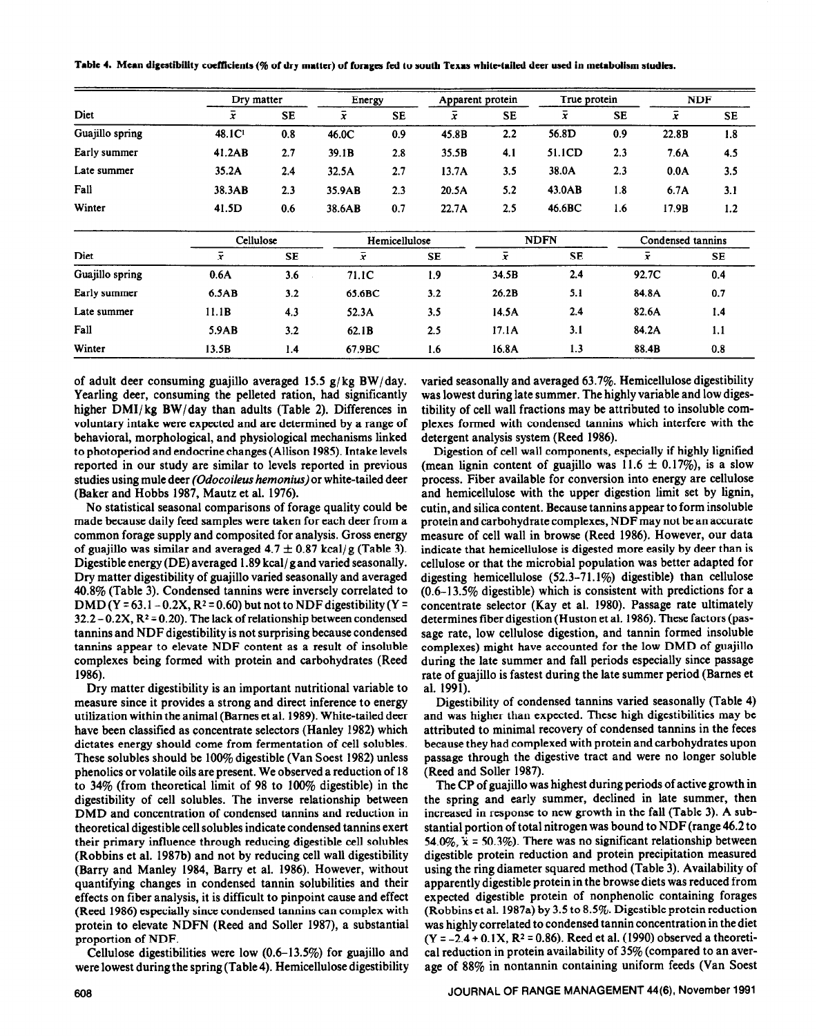|                 | Dry matter     |           | Energy        |           |             | Apparent protein |                   | True protein |                | <b>NDF</b> |  |
|-----------------|----------------|-----------|---------------|-----------|-------------|------------------|-------------------|--------------|----------------|------------|--|
| Diet            | x              | <b>SE</b> | $\bar{x}$     | <b>SE</b> | $\bar{x}$   | <b>SE</b>        | $\overline{x}$    | <b>SE</b>    | $\overline{x}$ | <b>SE</b>  |  |
| Guajillo spring | 48.1C          | 0.8       | 46.0C         | 0.9       | 45.8B       | 2.2              | 56.8D             | 0.9          | 22.8B          | 1.8        |  |
| Early summer    | 41.2AB         | 2.7       | 39.1B         | 2.8       | 35.5B       | 4.1              | 51.1CD            | 2.3          | 7.6A           | 4.5        |  |
| Late summer     | 35.2A          | 2.4       | 32.5A         | 2.7       | 13.7A       | 3.5              | 38.0A             | 2.3          | 0.0A           | 3.5        |  |
| Fall            | 38.3AB         | 2.3       | 35.9AB        | 2.3       | 20.5A       | 5.2              | 43.0AB            | 1.8          | 6.7A           | 3.1        |  |
| Winter          | 41.5D          | 0.6       | 38.6AB        | 0.7       | 22.7A       | 2.5              | 46.6BC            | 1.6          | 17.9B          | 1.2        |  |
|                 | Cellulose      |           | Hemicellulose |           | <b>NDFN</b> |                  | Condensed tannins |              |                |            |  |
| Diet            | $\overline{x}$ | <b>SE</b> | $\bar{x}$     |           | <b>SE</b>   | $\bar{x}$        | <b>SE</b>         |              | $\overline{x}$ | <b>SE</b>  |  |
| Guajillo spring | 0.6A           | 3.6       | 71.1C         |           | 1.9         | 34.5B            | 2.4               |              | 92.7C          | 0.4        |  |
| Early summer    | 6.5AB          | 3.2       | 65.6BC        |           | 3.2         | 26.2B            | 5.1               |              | 84.8A          | 0.7        |  |
| Late summer     | 11.1B          | 4.3       | 52.3A         |           | 3.5         | 14.5A            | 2.4               |              | 82.6A          | 1.4        |  |
| Fall            | 5.9AB          | 3.2       | 62.1B         |           | 2.5         | 17.1A            | 3.1               |              | 84.2A          | 1.1        |  |
| Winter          | 13.5B          | 1.4       | 67.9BC        |           | 1.6         | 16.8A            | 1.3               |              | 88.4B          | 0.8        |  |

**Table** 4. Mean **digestibility coefficients (% of dry matter) of forages fed to south** Texas **white-tailed deer used in metabolism studies.** 

of adult deer consuming guajillo averaged 15.5 g/kg BW/day. Yearling deer, consuming the pelleted ration, had significantly higher DMI/kg BW/day than adults (Table 2). Differences in voluntary intake were expected and are determined by a range of behavioral, morphological, and physiological mechanisms linked to photoperiod and endocrine changes (Allison 1985). Intake levels reported in our study are similar to levels reported in previous studies using mule deer *(Odocoileus hemonius)* or white-tailed deer (Baker and Hobbs 1987, Mautz et al. 1976).

No statistical seasonal comparisons of forage quality could be made because daily feed samples were taken for each deer from a common forage supply and composited for analysis. Gross energy of guajillo was similar and averaged  $4.7 \pm 0.87$  kcal/g (Table 3). Digestible energy (DE) averaged 1.89 kcal/ g and varied seasonally. Dry matter digestibility of guajillo varied seasonally and averaged 40.8% (Table 3). Condensed tannins were inversely correlated to DMD (Y =  $63.1-0.2X$ , R<sup>2</sup> = 0.60) but not to NDF digestibility (Y =  $32.2 - 0.2X$ ,  $R^2 = 0.20$ . The lack of relationship between condensed tannins and NDF digestibility is not surprising because condensed tannins appear to elevate NDF content as a result of insoluble complexes being formed with protein and carbohydrates (Reed 1986).

Dry matter digestibility is an important nutritional variable to measure since it provides a strong and direct inference to energy utilization within the animal (Barnes et al. 1989). White-tailed deer have been classified as concentrate selectors (Hanley 1982) which dictates energy should come from fermentation of cell solubles. These solubles should be 100% digestible (Van Soest 1982) unless phenolics or volatile oils are present. We observed a reduction of 18 to 34% (from theoretical limit of 98 to 100% digestible) in the digestibility of cell solubles. The inverse relationship between DMD and concentration of condensed tannins and reduction in theoretical digestible cell solubles indicate condensed tannins exert their primary influence through reducing digestible cell solubles (Robbins et al. 1987b) and not by reducing cell wall digestibility (Barry and Manley 1984, Barry et al. 1986). However, without quantifying changes in condensed tannin solubilities and their effects on fiber analysis, it is difficult to pinpoint cause and effect (Reed 1986) especially since condensed tannins can complex with protein to elevate NDFN (Reed and Soller 1987), a substantial proportion of NDF.

Cellulose digestibilities were low (0.6-13.5%) for guajillo and were lowest during the spring (Table 4). Hemicellulose digestibility varied seasonally and averaged 63.7%. Hemicellulose digestibility was lowest during late summer. The highly variable and low digestibility of cell wall fractions may be attributed to insoluble complexes formed with condensed tannins which interfere with the detergent analysis system (Reed 1986).

Digestion of cell wall components, especially if highly lignified (mean lignin content of guajillo was  $11.6 \pm 0.17\%$ ), is a slow process. Fiber available for conversion into energy are cellulose and hemicellulose with the upper digestion limit set by lignin, cutin, and silica content. Because tannins appear to form insoluble protein and carbohydrate complexes, NDF may not be an accurate measure of cell wall in browse (Reed 1986). However, our data indicate that hemicellulose is digested more easily by deer than is cellulose or that the microbial population was better adapted for digesting hemicellulose (52.3-71.1%) digestible) than cellulose (0.6-13.5% digestible) which is consistent with predictions for a concentrate selector (Kay et al. 1980). Passage rate ultimately determines fiber digestion (Huston et al. 1986). These factors (passage rate, low cellulose digestion, and tannin formed insoluble complexes) might have accounted for the low DMD of guajillo during the late summer and fall periods especially since passage rate of guajillo is fastest during the late summer period (Barnes et al. 1991).

Digestibility of condensed tannins varied seasonally (Table 4) and was higher than expected. These high digestibilities may be attributed to minimal recovery of condensed tannins in the feces because they had complexed with protein and carbohydrates upon passage through the digestive tract and were no longer soluble (Reed and Soller 1987).

The CP of guajillo was highest during periods of active growth in the spring and early summer, declined in late summer, then increased in response to new growth in the fall (Table 3). A substantial portion of total nitrogen was bound to NDF (range 46.2 to 54.0%,  $\ddot{x}$  = 50.3%). There was no significant relationship between digestible protein reduction and protein precipitation measured using the ring diameter squared method (Table 3). Availability of apparently digestible protein in the browse diets was reduced from expected digestible protein of nonphenolic containing forages (Robbins et al. 1987a) by 3.5 to 8.5%. Digestible protein reduction was highly correlated to condensed tannin concentration in the diet  $(Y = -2.4 + 0.1X, R^2 = 0.86)$ . Reed et al. (1990) observed a theoretical reduction in protein availability of 35% (compared to an average of 88% in nontannin containing uniform feeds (Van Soest

## 608 JOURNAL OF RANGE MANAGEMENT 44(8), November 1991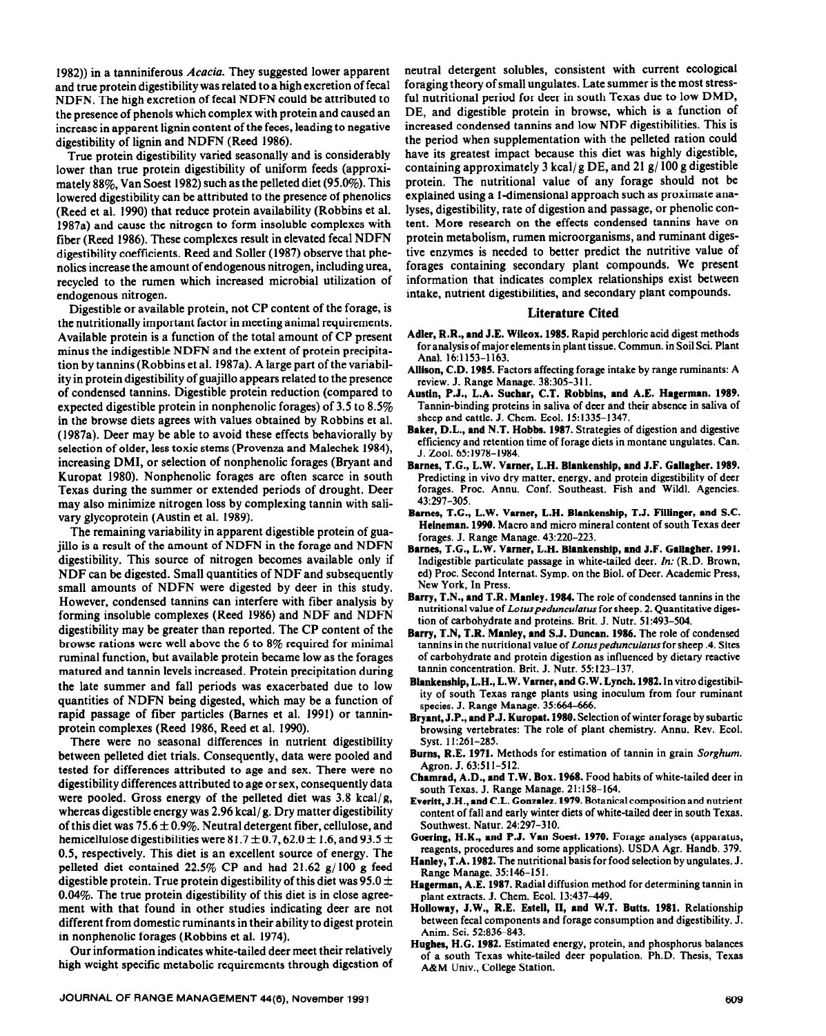1982)) in a tanniniferous *Acacia.* They suggested lower apparent and true protein digestibility was related to a high excretion of fecal NDFN. The high excretion of fecal NDFN could be attributed to the presence of phenols which complex with protein and caused an increase in apparent lignin content of the feces, leading to negative digestibility of lignin and NDFN (Reed 1986).

True protein digestibility varied seasonally and is considerably lower than true protein digestibility of uniform feeds (approximately 88%, Van Soest 1982) such as the pelleted diet (95.0%). This lowered digestibility can be attributed to the presence of phenolics (Reed et al. 1990) that reduce protein availability (Robbins et al. 1987a) and cause the nitrogen to form insoluble complexes with fiber (Reed 1986). These complexes result in elevated fecal NDFN digestibility coefficients. Reed and Soller (1987) observe that phenolics increase the amount of endogenous nitrogen, including urea, recycled to the rumen which increased microbial utilization of endogenous nitrogen.

Digestible or available protein, not CP content of the forage, is the nutritionally important factor in meeting animal requirements. Available protein is a function of the total amount of CP present minus the indigestible NDFN and the extent of protein precipitation by tannins (Robbins et al. 1987a). A large part of the variability in protein digestibility of guajillo appears related to the presence of condensed tannins. Digestible protein reduction (compared to expected digestible protein in nonphenolic forages) of 3.5 to 8.5% in the browse diets agrees with values obtained by Robbins et al. (1987a). Deer may be able to avoid these effects behaviorally by selection of older, less toxic stems (Provenza and Malechek 1984), increasing DMI, or selection of nonphenolic forages (Bryant and Kuropat 1980). Nonphenolic forages are often scarce in south Texas during the summer or extended periods of drought. Deer may also minimize nitrogen loss by complexing tannin with salivary glycoprotein (Austin et al. 1989).

The remaining variability in apparent digestible protein of guajillo is a result of the amount of NDFN in the forage and NDFN digestibility. This source of nitrogen becomes available only if NDF can be digested. Small quantities of NDF and subsequently small amounts of NDFN were digested by deer in this study. However, condensed tannins can interfere with fiber analysis by forming insoluble complexes (Reed 1986) and NDF and NDFN digestibility may be greater than reported. The CP content of the browse rations were well above the 6 to 8% required for minimal ruminal function, but available protein became low as the forages matured and tannin levels increased. Protein precipitation during the late summer and fall periods was exacerbated due to low quantities of NDFN being digested, which may be a function of rapid passage of fiber particles (Barnes et al. 1991) or tanninprotein complexes (Reed 1986, Reed et al. 1990).

There were no seasonal differences in nutrient digestibility between pelleted diet trials. Consequently, data were pooled and tested for differences attributed to age and sex. There were no digestibility differences attributed to age or sex, consequently data were pooled. Gross energy of the pelleted diet was 3.8 kcal/g, whereas digestible energy was 2.96 kcal/g. Dry matter digestibility of this diet was  $75.6 \pm 0.9\%$ . Neutral detergent fiber, cellulose, and hemicellulose digestibilities were 81.7  $\pm$  0.7, 62.0  $\pm$  1.6, and 93.5  $\pm$ 0.5, respectively. This diet is an excellent source of energy. The pelleted diet contained 22.5% CP and had 21.62 g/ 100 g feed digestible protein. True protein digestibility of this diet was  $95.0 \pm$  $0.04\%$ . The true protein digestibility of this diet is in close agreement with that found in other studies indicating deer are not different from domestic ruminants in their ability to digest protein in nonphenolic forages (Robbins et al. 1974).

Our information indicates white-tailed deer meet their relatively high weight specific metabolic requirements through digestion of neutral detergent solubles, consistent with current ecological foraging theory of small ungulates. Late summer is the most stressful nutritional period for deer in south Texas due to low DMD, DE, and digestible protein in browse, which is a function of increased condensed tannins and low NDF digestibilities. This is the period when supplementation with the pelleted ration could have its greatest impact because this diet was highly digestible, containing approximately 3 kcal/g DE, and 21  $g/100 g$  digestible protein. The nutritional value of any forage should not be explained using a I-dimensional approach such as proximate analyses, digestibility, rate of digestion and passage, or phenolic content. More research on the effects condensed tannins have on protein metabolism, rumen microorganisms, and ruminant digestive enzymes is needed to better predict the nutritive value of forages containing secondary plant compounds. We present information that indicates complex relationships exist between intake, nutrient digestibilities, and secondary plant compounds.

#### **Literature Cited**

- **Adler, R.R., and J.E. Wilcox. 1985.** Rapid perchloric acid digest methods for analysis of major elements in plant tissue. Commun. **in Soil Sci. Plant Anal. 16:1153-1163.**
- **Allison, C.D. 1985. Factors affecting forage intake by range ruminants: A**  review. J. Range Manage. 38:305-311.
- Austin, P.J., L.A. Suchar, C.T. Robbins, and A.E. Hagerman. 1989. Tannin-binding proteins in saliva of deer and their absence in saliva of **sheep and cattle. J. Chem. Ecol.** 15: **1335-l 347.**
- **Baker, D.L., and N.T. Hobbs. 1987. Strategies of digestion and digestive efficiency and retention time of forage diets in montane ungulates. Can. J. Zool. 65:1978-1984.**
- **Barnes, T.C., L.W. Vamer, L.H. Blankenship, and J.F. Gallagher. 1989. Predicting in vivo dry matter, energy, and protein digestibility of deer forages. Proc. Annu. Conf. Southeast. Fish and Wildl. Agencies. 43~297-305.**
- Barnes, T.G., L.W. Varner, L.H. Blankenship, T.J. Fillinger, and S.C. **Heineman. 1990.** Macro and micro mineral content of south Texas deer **forages. J. Range Manage. 43:220-223.**
- Barnes, T.G., L.W. Varner, L.H. Blankenship, and J.F. Gallagher. 1991. **Indigestible particulate passage in white-tailed deer.** *In:* **(R.D. Brown, ed) Proc. Second Internat. Symp. on the Biol. of Deer. Academic Press, New York, In Press.**
- **Barry, T.N., and T.R. Manley. 1984. The role of condensed tannins in the nutritional value of** *Loruspedunculurus* **for sheep. 2. Quantitative digestion of carbohydrate and proteins. Brit. J. Nutr. 51:493-504.**
- **Barry, T.N, T.R. Manley, and S.J. Duncan. 1986. The role of condensed tannins in the nutritional value of** *Lotuspedunculatus* **for sheep .4. Sites of carbohydrate and protein digestion as influenced by dietary reactive tannin concentration. Brit. J. Nutr. 55:123-137.**
- **Blankenship, L.H., L.W. Varner, and G.W. Lynch. 1982. In vitro digestibility of south Texas range plants using inoculum from four ruminant**  species. J. Range Manage. 35:664-666.
- **Bryant, J.P., and P.J. Kuropat. 1980. Selection of winter forage by subartic browsing vertebrates: The role of plant chemistry. Annu. Rev. Ecol. Syst. 11:261-285.**
- **Burns, R.E. 1971. Methods for estimation of tannin in grain Sorghum. Agron. J. 63:51 I-512.**
- **Chamrad, A.D., and T.W. Box. 1968. Food habits of white-tailed deer in south Texas. J. Range Manage. 21:158-164.**
- **Everitt, J.H., and C.L. Gonzalez. 1979. Botanical composition and nutrient content of fall and early winter diets of white-tailed deer in south Texas. Southwest. Natur. 24:297-310.**
- **Goering, H.K., and P.J. Van Soest. 1970. Forage analyses (apparatus, reagents, procedures and some applications). USDA Agr. Handb. 379.**
- **Hanley, T.A. 1982. The nutritional basis for food selection by ungulates. J. Range Manage. 35:146-151.**
- **Hagerman, A.E. 1987. Radial diffusion method for determining tannin in plant extracts. J. Chem. Ecol. 13:437-449.**
- **Holloway, J.W., R.E. Estell, II, and W.T. Butts. 1981. Relationship between fecal components and forage consumption and digestibility. J. Anim. Sci. 52:836-843.**
- **Hughes, H.G. 1982. Estimated energy, protein, and phosphorus balances of a south Texas white-tailed deer population. Ph.D. Thesis, Texas A&M Univ., College Station.**